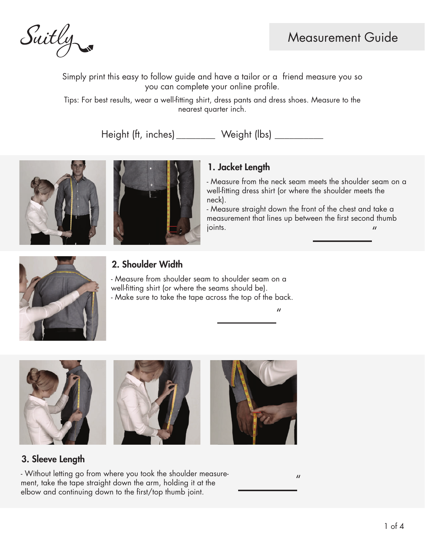

Simply print this easy to follow guide and have a tailor or a friend measure you so you can complete your online profile.

Tips: For best results, wear a well-fitting shirt, dress pants and dress shoes. Measure to the nearest quarter inch.

Height (ft, inches) \_\_\_\_\_\_\_\_ Weight (lbs) \_\_\_\_\_\_\_\_\_





## 1. Jacket Length

- Measure from the neck seam meets the shoulder seam on a well-fitting dress shirt (or where the shoulder meets the neck).

- Measure straight down the front of the chest and take a measurement that lines up between the first second thumb  $\mu$  joints.  $\mu$ 

 $\mathbf{u}$ 



## 2. Shoulder Width

- Measure from shoulder seam to shoulder seam on a well-fitting shirt (or where the seams should be). - Make sure to take the tape across the top of the back.



#### 3. Sleeve Length

- Without letting go from where you took the shoulder measurement, take the tape straight down the arm, holding it at the elbow and continuing down to the first/top thumb joint.

 $\mathbf{u}$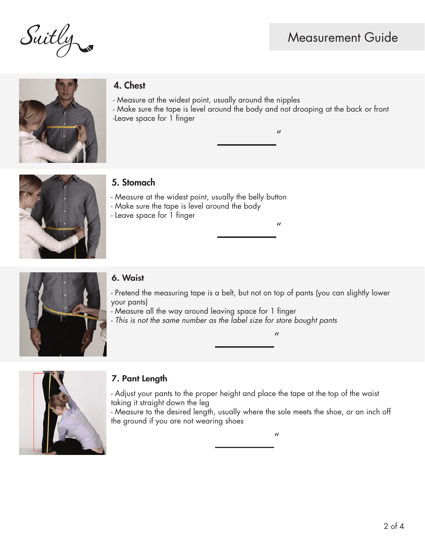Suitly



# 4. Chest

- Measure at the widest point, usually around the nipples

- Make sure the tape is level around the body and not drooping at the back or front -Leave space for 1 finger

 $\mathbf{u}$ 



# 5. Stomach

- Measure at the widest point, usually the belly button
- Make sure the tape is level around the body
- Leave space for 1 finger

 $\mathbf{u}$ 



#### 6. Waist

- Pretend the measuring tape is a belt, but not on top of pants (you can slightly lower your pants)
- Measure all the way around leaving space for 1 finger
- *This is not the same number as the label size for store bought pants*

### 7. Pant Length

- Adjust your pants to the proper height and place the tape at the top of the waist taking it straight down the leg

- Measure to the desired length, usually where the sole meets the shoe, or an inch off the ground if you are not wearing shoes

 $\mathbf{u}$ 

 $\mathbf{u}$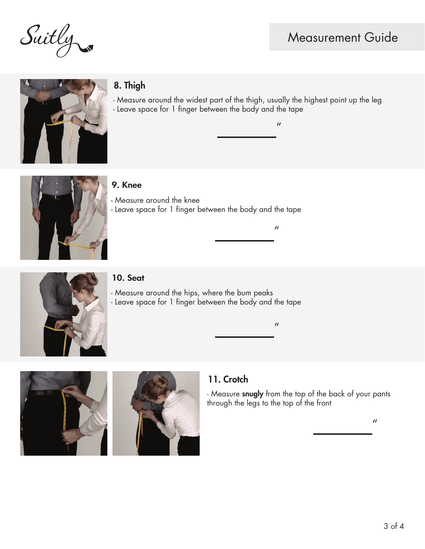Suitly

# Measurement Guide



# 8. Thigh

- Measure around the widest part of the thigh, usually the highest point up the leg - Leave space for 1 finger between the body and the tape

 $\mathbf{u}$ 



#### 9. Knee

- Measure around the knee - Leave space for 1 finger between the body and the tape



#### 10. Seat

- Measure around the hips, where the bum peaks - Leave space for 1 finger between the body and the tape



### 11. Crotch

- Measure snugly from the top of the back of your pants through the legs to the top of the front

 $\mathbf{u}$ 

 $\boldsymbol{\prime\prime}$ 

 $\boldsymbol{\prime\prime}$